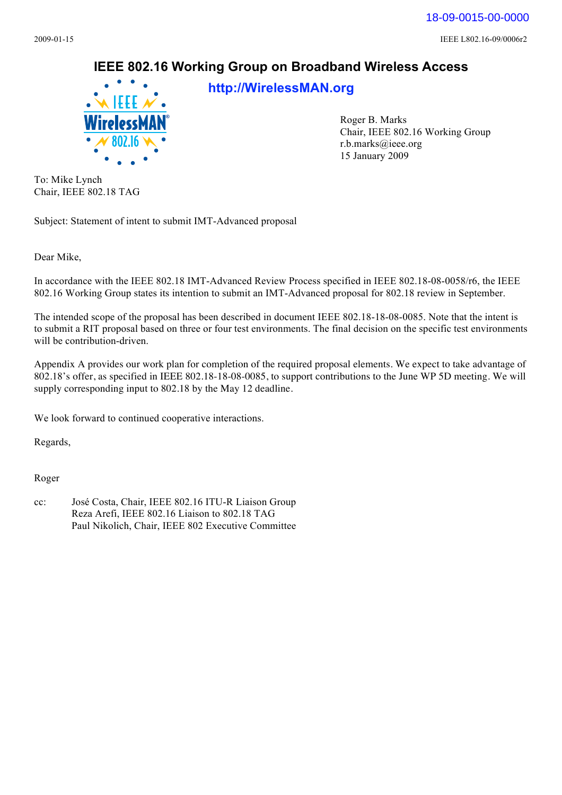18-09-0015-00-0000

2009-01-15 IEEE L802.16-09/0006r2

## **IEEE 802.16 Working Group on Broadband Wireless Access**



**<http://WirelessMAN.org>**

Roger B. Marks Chair, IEEE 802.16 Working Group [r.b.marks@ieee.org](mailto:r.b.marks@ieee.org)  15 January 2009

To: Mike Lynch Chair, IEEE 802.18 TAG

Subject: Statement of intent to submit IMT-Advanced proposal

Dear Mike,

In accordance with the IEEE 802.18 IMT-Advanced Review Process specified in IEEE 802.18-08-0058/r6, the IEEE 802.16 Working Group states its intention to submit an IMT-Advanced proposal for 802.18 review in September.

The intended scope of the proposal has been described in document IEEE 802.18-18-08-0085. Note that the intent is to submit a RIT proposal based on three or four test environments. The final decision on the specific test environments will be contribution-driven.

Appendix A provides our work plan for completion of the required proposal elements. We expect to take advantage of 802.18's offer, as specified in IEEE 802.18-18-08-0085, to support contributions to the June WP 5D meeting. We will supply corresponding input to 802.18 by the May 12 deadline.

We look forward to continued cooperative interactions.

Regards,

Roger

cc: José Costa, Chair, IEEE 802.16 ITU-R Liaison Group Reza Arefi, IEEE 802.16 Liaison to 802.18 TAG Paul Nikolich, Chair, IEEE 802 Executive Committee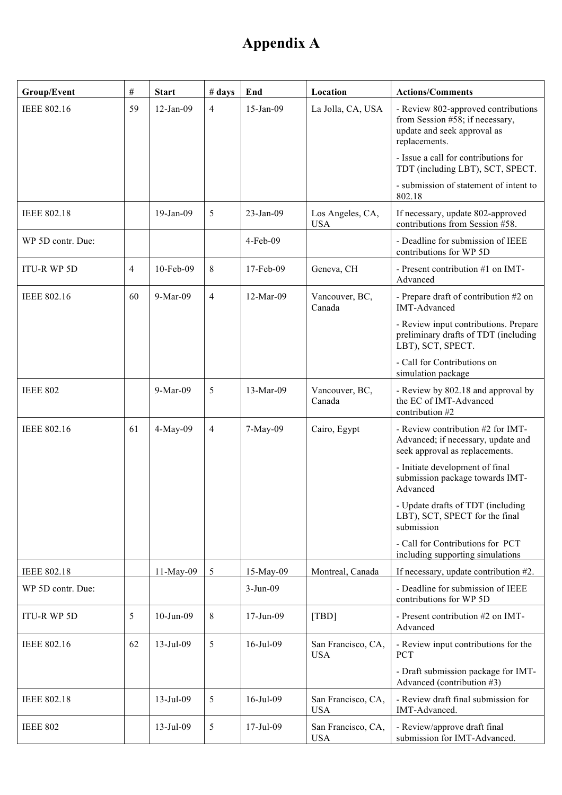## **Appendix A**

| Group/Event        | $\#$           | <b>Start</b> | # days         | End          | Location                         | <b>Actions/Comments</b>                                                                                                |
|--------------------|----------------|--------------|----------------|--------------|----------------------------------|------------------------------------------------------------------------------------------------------------------------|
| <b>IEEE 802.16</b> | 59             | $12$ -Jan-09 | $\overline{4}$ | 15-Jan-09    | La Jolla, CA, USA                | - Review 802-approved contributions<br>from Session #58; if necessary,<br>update and seek approval as<br>replacements. |
|                    |                |              |                |              |                                  | - Issue a call for contributions for<br>TDT (including LBT), SCT, SPECT.<br>- submission of statement of intent to     |
|                    |                |              |                |              |                                  | 802.18                                                                                                                 |
| <b>IEEE 802.18</b> |                | 19-Jan-09    | 5              | 23-Jan-09    | Los Angeles, CA,<br><b>USA</b>   | If necessary, update 802-approved<br>contributions from Session #58.                                                   |
| WP 5D contr. Due:  |                |              |                | $4$ -Feb-09  |                                  | - Deadline for submission of IEEE<br>contributions for WP 5D                                                           |
| <b>ITU-R WP 5D</b> | $\overline{4}$ | 10-Feb-09    | 8              | $17$ -Feb-09 | Geneva, CH                       | - Present contribution #1 on IMT-<br>Advanced                                                                          |
| <b>IEEE 802.16</b> | 60             | 9-Mar-09     | $\overline{4}$ | 12-Mar-09    | Vancouver, BC,<br>Canada         | - Prepare draft of contribution #2 on<br><b>IMT-Advanced</b>                                                           |
|                    |                |              |                |              |                                  | - Review input contributions. Prepare<br>preliminary drafts of TDT (including<br>LBT), SCT, SPECT.                     |
|                    |                |              |                |              |                                  | - Call for Contributions on<br>simulation package                                                                      |
| <b>IEEE 802</b>    |                | 9-Mar-09     | 5              | 13-Mar-09    | Vancouver, BC,<br>Canada         | - Review by 802.18 and approval by<br>the EC of IMT-Advanced<br>contribution #2                                        |
| <b>IEEE 802.16</b> | 61             | 4-May-09     | $\overline{4}$ | 7-May-09     | Cairo, Egypt                     | - Review contribution #2 for IMT-<br>Advanced; if necessary, update and<br>seek approval as replacements.              |
|                    |                |              |                |              |                                  | - Initiate development of final<br>submission package towards IMT-<br>Advanced                                         |
|                    |                |              |                |              |                                  | - Update drafts of TDT (including<br>LBT), SCT, SPECT for the final<br>submission                                      |
|                    |                |              |                |              |                                  | - Call for Contributions for PCT<br>including supporting simulations                                                   |
| <b>IEEE 802.18</b> |                | 11-May-09    | 5              | 15-May-09    | Montreal, Canada                 | If necessary, update contribution #2.                                                                                  |
| WP 5D contr. Due:  |                |              |                | $3-Jun-09$   |                                  | - Deadline for submission of IEEE<br>contributions for WP 5D                                                           |
| <b>ITU-R WP 5D</b> | 5              | 10-Jun-09    | 8              | 17-Jun-09    | [TBD]                            | - Present contribution #2 on IMT-<br>Advanced                                                                          |
| <b>IEEE 802.16</b> | 62             | $13$ -Jul-09 | 5              | 16-Jul-09    | San Francisco, CA,<br><b>USA</b> | - Review input contributions for the<br><b>PCT</b>                                                                     |
|                    |                |              |                |              |                                  | - Draft submission package for IMT-<br>Advanced (contribution #3)                                                      |
| <b>IEEE 802.18</b> |                | 13-Jul-09    | 5              | 16-Jul-09    | San Francisco, CA,<br><b>USA</b> | - Review draft final submission for<br>IMT-Advanced.                                                                   |
| <b>IEEE 802</b>    |                | 13-Jul-09    | 5              | 17-Jul-09    | San Francisco, CA,<br><b>USA</b> | - Review/approve draft final<br>submission for IMT-Advanced.                                                           |